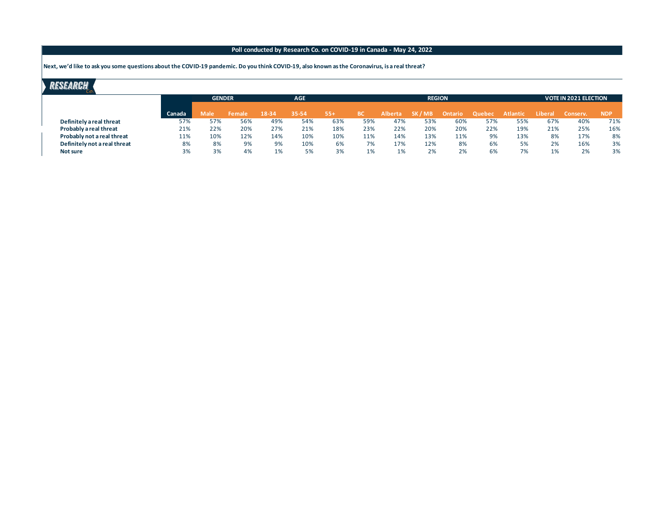**Next, we'd like to ask you some questions about the COVID-19 pandemic. Do you think COVID-19, also known as the Coronavirus, is a real threat?**

|                              |        | <b>GENDER</b> |        |       | <b>AGE</b> | <b>REGION</b> |           |                |       |         |          |          | <b>VOTE IN 2021 ELECTION</b> |          |            |  |
|------------------------------|--------|---------------|--------|-------|------------|---------------|-----------|----------------|-------|---------|----------|----------|------------------------------|----------|------------|--|
|                              | Canada | <b>Male</b>   | Female | 18-34 | 35-54      | $55+$         | <b>BC</b> | <b>Alberta</b> | SK/MB | Ontario | ' Quebec | Atlantic | Liberal                      | Conserv. | <b>NDP</b> |  |
| Definitely a real threat     | 57%    | 57%           | 56%    | 49%   | 54%        | 63%           | 59%       | 47%            | 53%   | 60%     | 57%      | 55%      | 67%                          | 40%      | 71%        |  |
| Probably a real threat       | 21%    | 22%           | 20%    | 27%   | 21%        | 18%           | 23%       | 22%            | 20%   | 20%     | 22%      | 19%      | 21%                          | 25%      | 16%        |  |
| Probably not a real threat   | 11%    | 10%           | 12%    | 14%   | 10%        | 10%           | 11%       | 14%            | 13%   | 11%     | 9%       | 13%      | 8%                           | 17%      | 8%         |  |
| Definitely not a real threat | 8%     | 8%            | 9%     | 9%    | 10%        | 6%            | 7%        | 17%            | 12%   | 8%      | 6%       | 5%       | 2%                           | 16%      | 3%         |  |
| Not sure                     | 3%     | 3%            | 4%     | 1%    | 5%         | 3%            | 1%        | 1%             | 2%    | 2%      | 6%       | 7%       | 1%                           | 2%       | 3%         |  |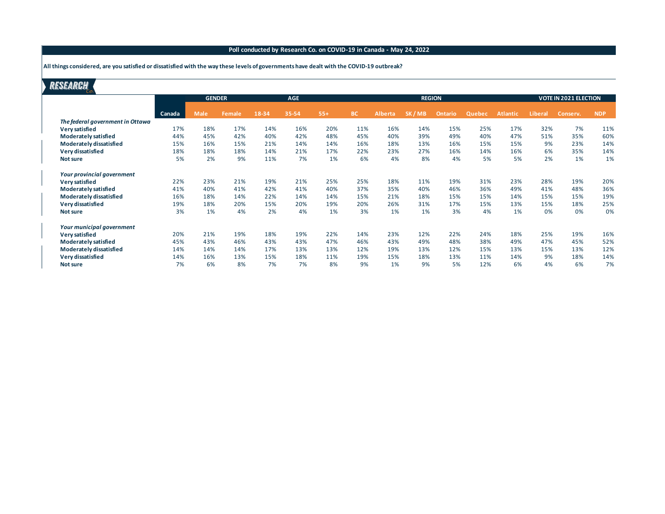**All things considered, are you satisfied or dissatisfied with the way these levels of governments have dealt with the COVID-19 outbreak?**

|                                  | <b>GENDER</b> |             |        | <b>AGE</b> |       |       |           |                | <b>REGION</b> | <b>VOTE IN 2021 ELECTION</b> |        |                 |                |          |            |
|----------------------------------|---------------|-------------|--------|------------|-------|-------|-----------|----------------|---------------|------------------------------|--------|-----------------|----------------|----------|------------|
|                                  | Canada        | <b>Male</b> | Female | 18-34      | 35-54 | $55+$ | <b>BC</b> | <b>Alberta</b> | SK/MB         | <b>Ontario</b>               | Quebec | <b>Atlantic</b> | <b>Liberal</b> | Conserv. | <b>NDP</b> |
| The federal government in Ottawa |               |             |        |            |       |       |           |                |               |                              |        |                 |                |          |            |
| Very satisfied                   | 17%           | 18%         | 17%    | 14%        | 16%   | 20%   | 11%       | 16%            | 14%           | 15%                          | 25%    | 17%             | 32%            | 7%       | 11%        |
| <b>Moderately satisfied</b>      | 44%           | 45%         | 42%    | 40%        | 42%   | 48%   | 45%       | 40%            | 39%           | 49%                          | 40%    | 47%             | 51%            | 35%      | 60%        |
| Moderately dissatisfied          | 15%           | 16%         | 15%    | 21%        | 14%   | 14%   | 16%       | 18%            | 13%           | 16%                          | 15%    | 15%             | 9%             | 23%      | 14%        |
| Very dissatisfied                | 18%           | 18%         | 18%    | 14%        | 21%   | 17%   | 22%       | 23%            | 27%           | 16%                          | 14%    | 16%             | 6%             | 35%      | 14%        |
| Not sure                         | 5%            | 2%          | 9%     | 11%        | 7%    | 1%    | 6%        | 4%             | 8%            | 4%                           | 5%     | 5%              | 2%             | 1%       | 1%         |
| Your provincial government       |               |             |        |            |       |       |           |                |               |                              |        |                 |                |          |            |
| <b>Very satisfied</b>            | 22%           | 23%         | 21%    | 19%        | 21%   | 25%   | 25%       | 18%            | 11%           | 19%                          | 31%    | 23%             | 28%            | 19%      | 20%        |
| <b>Moderately satisfied</b>      | 41%           | 40%         | 41%    | 42%        | 41%   | 40%   | 37%       | 35%            | 40%           | 46%                          | 36%    | 49%             | 41%            | 48%      | 36%        |
| Moderately dissatisfied          | 16%           | 18%         | 14%    | 22%        | 14%   | 14%   | 15%       | 21%            | 18%           | 15%                          | 15%    | 14%             | 15%            | 15%      | 19%        |
| Very dissatisfied                | 19%           | 18%         | 20%    | 15%        | 20%   | 19%   | 20%       | 26%            | 31%           | 17%                          | 15%    | 13%             | 15%            | 18%      | 25%        |
| Not sure                         | 3%            | 1%          | 4%     | 2%         | 4%    | 1%    | 3%        | 1%             | 1%            | 3%                           | 4%     | 1%              | 0%             | 0%       | 0%         |
| Your municipal government        |               |             |        |            |       |       |           |                |               |                              |        |                 |                |          |            |
| Very satisfied                   | 20%           | 21%         | 19%    | 18%        | 19%   | 22%   | 14%       | 23%            | 12%           | 22%                          | 24%    | 18%             | 25%            | 19%      | 16%        |
| <b>Moderately satisfied</b>      | 45%           | 43%         | 46%    | 43%        | 43%   | 47%   | 46%       | 43%            | 49%           | 48%                          | 38%    | 49%             | 47%            | 45%      | 52%        |
| Moderately dissatisfied          | 14%           | 14%         | 14%    | 17%        | 13%   | 13%   | 12%       | 19%            | 13%           | 12%                          | 15%    | 13%             | 15%            | 13%      | 12%        |
| Very dissatisfied                | 14%           | 16%         | 13%    | 15%        | 18%   | 11%   | 19%       | 15%            | 18%           | 13%                          | 11%    | 14%             | 9%             | 18%      | 14%        |
| Not sure                         | 7%            | 6%          | 8%     | 7%         | 7%    | 8%    | 9%        | 1%             | 9%            | 5%                           | 12%    | 6%              | 4%             | 6%       | 7%         |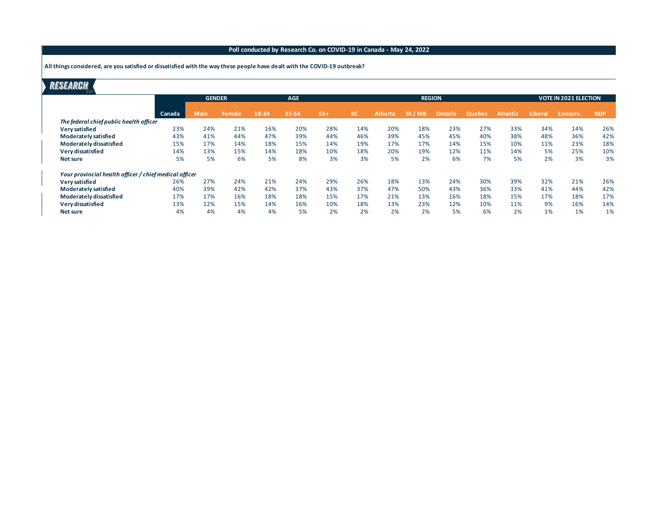**All things considered, are you satisfied or dissatisfied with the way these people have dealt with the COVID-19 outbreak?**

|                                                        | <b>GENDER</b> |             |        | <b>AGE</b> |       |       |           |         | <b>REGION</b> | <b>VOTE IN 2021 ELECTION</b> |        |                 |         |          |            |
|--------------------------------------------------------|---------------|-------------|--------|------------|-------|-------|-----------|---------|---------------|------------------------------|--------|-----------------|---------|----------|------------|
|                                                        | Canada        | <b>Male</b> | Female | 18-34      | 35-54 | $55+$ | <b>BC</b> | Alberta | SK / MB       | <b>Ontario</b>               | Quebec | <b>Atlantic</b> | Liberal | Conserv. | <b>NDP</b> |
| The federal chief public health officer                |               |             |        |            |       |       |           |         |               |                              |        |                 |         |          |            |
| <b>Very satisfied</b>                                  | 23%           | 24%         | 21%    | 16%        | 20%   | 28%   | 14%       | 20%     | 18%           | 23%                          | 27%    | 33%             | 34%     | 14%      | 26%        |
| Moderately satisfied                                   | 43%           | 41%         | 44%    | 47%        | 39%   | 44%   | 46%       | 39%     | 45%           | 45%                          | 40%    | 38%             | 48%     | 36%      | 42%        |
| Moderately dissatisfied                                | 15%           | 17%         | 14%    | 18%        | 15%   | 14%   | 19%       | 17%     | 17%           | 14%                          | 15%    | 10%             | 11%     | 23%      | 18%        |
| Very dissatisfied                                      | 14%           | 13%         | 15%    | 14%        | 18%   | 10%   | 18%       | 20%     | 19%           | 12%                          | 11%    | 14%             | 5%      | 25%      | 10%        |
| Not sure                                               | 5%            | 5%          | 6%     | 5%         | 8%    | 3%    | 3%        | 5%      | 2%            | 6%                           | 7%     | 5%              | 2%      | 3%       | 3%         |
| Your provincial health officer / chief medical officer |               |             |        |            |       |       |           |         |               |                              |        |                 |         |          |            |
| <b>Very satisfied</b>                                  | 26%           | 27%         | 24%    | 21%        | 24%   | 29%   | 26%       | 18%     | 13%           | 24%                          | 30%    | 39%             | 32%     | 21%      | 26%        |
| <b>Moderately satisfied</b>                            | 40%           | 39%         | 42%    | 42%        | 37%   | 43%   | 37%       | 47%     | 50%           | 43%                          | 36%    | 33%             | 41%     | 44%      | 42%        |
| Moderately dissatisfied                                | 17%           | 17%         | 16%    | 18%        | 18%   | 15%   | 17%       | 21%     | 13%           | 16%                          | 18%    | 15%             | 17%     | 18%      | 17%        |
| Very dissatisfied                                      | 13%           | 12%         | 15%    | 14%        | 16%   | 10%   | 18%       | 13%     | 23%           | 12%                          | 10%    | 11%             | 9%      | 16%      | 14%        |
| Not sure                                               | 4%            | 4%          | 4%     | 4%         | 5%    | 2%    | 2%        | 2%      | 2%            | 5%                           | 6%     | 2%              | 1%      | 1%       | 1%         |